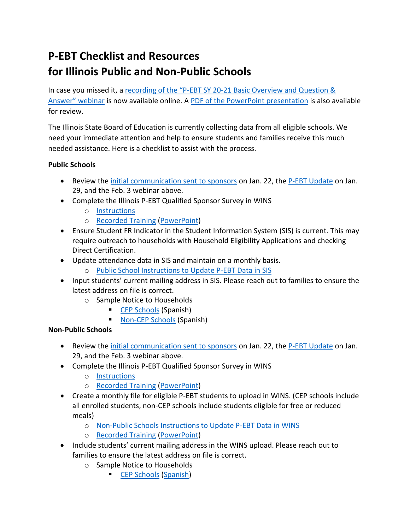## **P-EBT Checklist and Resources for Illinois Public and Non-Public Schools**

In case you missed it, a recording of the "P-EBT SY 20-21 Basic Overview and Question & [Answer"](https://attendee.gotowebinar.com/recording/1816189112711726593) webinar is now available online. A [PDF of the PowerPoint presentation](https://www.isbe.net/Documents/020321-pebt-ppt.pdf) is also available for review.

The Illinois State Board of Education is currently collecting data from all eligible schools. We need your immediate attention and help to ensure students and families receive this much needed assistance. Here is a checklist to assist with the process.

## **Public Schools**

- Review the [initial communication sent to sponsors](https://www.isbe.net/Documents/012221-pebt.pdf) on Jan. 22, the [P-EBT Update](https://www.isbe.net/Documents/012921-pebtupdate.pdf) on Jan. 29, and the Feb. 3 webinar above.
- Complete the Illinois P-EBT Qualified Sponsor Survey in WINS
	- o [Instructions](https://www.isbe.net/Documents/pebt-survey-instructions.pdf)
	- o [Recorded Training](https://attendee.gotowebinar.com/recording/4620821173646172163) [\(PowerPoint\)](https://www.isbe.net/Documents/PEBT-SY20-21-Survey.pdf)
- Ensure Student FR Indicator in the Student Information System (SIS) is current. This may require outreach to households with Household Eligibility Applications and checking Direct Certification.
- Update attendance data in SIS and maintain on a monthly basis.
	- o [Public School Instructions to Update P-EBT Data in SIS](https://www.isbe.net/Documents/pebt-publicschool-instructions.pdf)
- Input students' current mailing address in SIS. Please reach out to families to ensure the latest address on file is correct.
	- o Sample Notice to Households
		- [CEP Schools](https://www.isbe.net/_layouts/Download.aspx?SourceUrl=https://www.isbe.net/Documents/PEBT-SampleNotice-CEPschool.docx) (Spanish)
		- [Non-CEP Schools](https://www.isbe.net/_layouts/Download.aspx?SourceUrl=https://www.isbe.net/Documents/PEBT-SampleNotice-nonCEPschool.docx) (Spanish)

## **Non-Public Schools**

- Review the [initial communication sent to sponsors](https://www.isbe.net/Documents/012221-pebt.pdf) on Jan. 22, the [P-EBT Update](https://www.isbe.net/Documents/012921-pebtupdate.pdf) on Jan. 29, and the Feb. 3 webinar above.
- Complete the Illinois P-EBT Qualified Sponsor Survey in WINS
	- o [Instructions](https://www.isbe.net/Documents/pebt-survey-instructions.pdf)
	- o [Recorded Training](https://attendee.gotowebinar.com/recording/4620821173646172163) [\(PowerPoint\)](https://www.isbe.net/Documents/PEBT-SY20-21-Survey.pdf)
- Create a monthly file for eligible P-EBT students to upload in WINS. (CEP schools include all enrolled students, non-CEP schools include students eligible for free or reduced meals)
	- o [Non-Public Schools Instructions to Update P-EBT Data in WINS](https://www.isbe.net/Documents/pebt-nonpublic-Instructions.pdf)
	- o [Recorded Training](https://attendee.gotowebinar.com/recording/7353977282367523075) [\(PowerPoint\)](https://www.isbe.net/Documents/PEBT-SY20-21-UploadingData.pdf)
- Include students' current mailing address in the WINS upload. Please reach out to families to ensure the latest address on file is correct.
	- o Sample Notice to Households
		- **EXECTED** Schools [\(Spanish\)](https://www.isbe.net/_layouts/Download.aspx?SourceUrl=https://www.isbe.net/Documents/PEBT-SampleNotice-CEPschool-Spanish.docx)